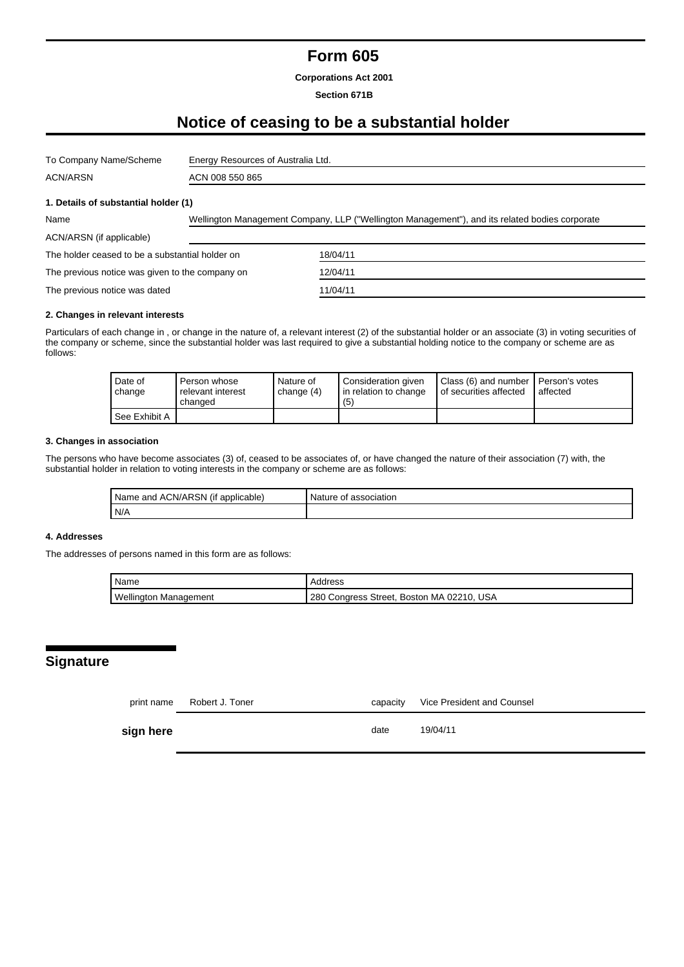## **Form 605**

**Corporations Act 2001**

#### **Section 671B**

# **Notice of ceasing to be a substantial holder**

| To Company Name/Scheme                          | Energy Resources of Australia Ltd.                                                             |          |  |  |
|-------------------------------------------------|------------------------------------------------------------------------------------------------|----------|--|--|
| ACN/ARSN                                        | ACN 008 550 865                                                                                |          |  |  |
| 1. Details of substantial holder (1)            |                                                                                                |          |  |  |
| Name                                            | Wellington Management Company, LLP ("Wellington Management"), and its related bodies corporate |          |  |  |
| ACN/ARSN (if applicable)                        |                                                                                                |          |  |  |
| The holder ceased to be a substantial holder on |                                                                                                | 18/04/11 |  |  |
| The previous notice was given to the company on |                                                                                                | 12/04/11 |  |  |
| The previous notice was dated                   |                                                                                                | 11/04/11 |  |  |

#### **2. Changes in relevant interests**

Particulars of each change in , or change in the nature of, a relevant interest (2) of the substantial holder or an associate (3) in voting securities of the company or scheme, since the substantial holder was last required to give a substantial holding notice to the company or scheme are as follows:

| Date of<br>change | Person whose<br>relevant interest<br>changed | Nature of<br>change $(4)$ | Consideration given<br>I in relation to change<br>(5) | Class (6) and number   Person's votes<br>of securities affected | affected |
|-------------------|----------------------------------------------|---------------------------|-------------------------------------------------------|-----------------------------------------------------------------|----------|
| See Exhibit A     |                                              |                           |                                                       |                                                                 |          |

#### **3. Changes in association**

The persons who have become associates (3) of, ceased to be associates of, or have changed the nature of their association (7) with, the substantial holder in relation to voting interests in the company or scheme are as follows:

| <b>ACN/ARSN</b><br>applicable)<br>Name<br>and<br>( It | Nature v<br>association |
|-------------------------------------------------------|-------------------------|
| N/A                                                   |                         |

### **4. Addresses**

The addresses of persons named in this form are as follows:

| Name                         | Address                                   |  |  |
|------------------------------|-------------------------------------------|--|--|
| <b>Wellington Management</b> | 280 Congress Street, Boston MA 02210, USA |  |  |

### **Signature**

|           | print name Robert J. Toner | capacity | Vice President and Counsel |
|-----------|----------------------------|----------|----------------------------|
| sign here |                            | date     | 19/04/11                   |